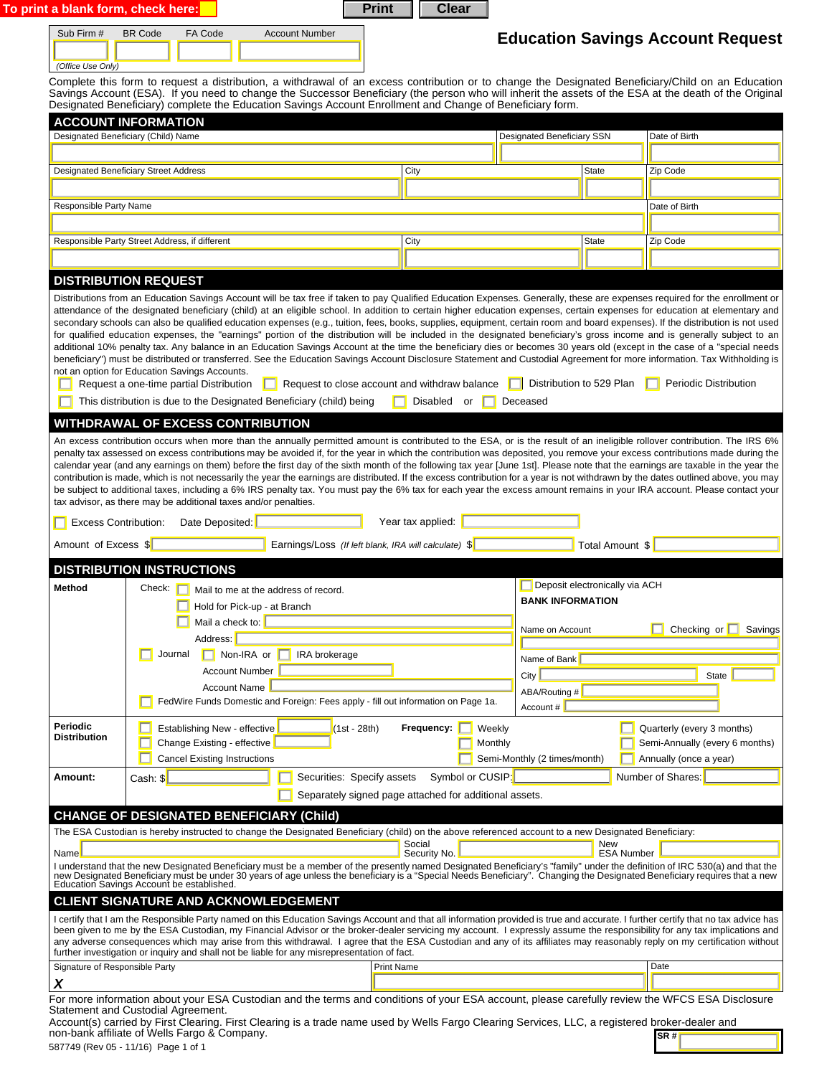| Sub Firm #<br>(Office Use Only)            | <b>BR</b> Code<br>FA Code<br>Complete this form to request a distribution, a withdrawal of an excess contribution or to change the Designated Beneficiary/Child on an Education                                                                                                                                                                                                                                                                                                                                                                                                                                                                                                                                                                                                                                                                                                                                                                                              | <b>Account Number</b>                                                                |                                   |                                                                       |                          | <b>Education Savings Account Request</b>                                               |
|--------------------------------------------|------------------------------------------------------------------------------------------------------------------------------------------------------------------------------------------------------------------------------------------------------------------------------------------------------------------------------------------------------------------------------------------------------------------------------------------------------------------------------------------------------------------------------------------------------------------------------------------------------------------------------------------------------------------------------------------------------------------------------------------------------------------------------------------------------------------------------------------------------------------------------------------------------------------------------------------------------------------------------|--------------------------------------------------------------------------------------|-----------------------------------|-----------------------------------------------------------------------|--------------------------|----------------------------------------------------------------------------------------|
|                                            | Savings Account (ESA). If you need to change the Successor Beneficiary (the person who will inherit the assets of the ESA at the death of the Original<br>Designated Beneficiary) complete the Education Savings Account Enrollment and Change of Beneficiary form.                                                                                                                                                                                                                                                                                                                                                                                                                                                                                                                                                                                                                                                                                                          |                                                                                      |                                   |                                                                       |                          |                                                                                        |
|                                            | <b>ACCOUNT INFORMATION</b>                                                                                                                                                                                                                                                                                                                                                                                                                                                                                                                                                                                                                                                                                                                                                                                                                                                                                                                                                   |                                                                                      |                                   |                                                                       |                          |                                                                                        |
|                                            | Designated Beneficiary (Child) Name                                                                                                                                                                                                                                                                                                                                                                                                                                                                                                                                                                                                                                                                                                                                                                                                                                                                                                                                          |                                                                                      |                                   | Designated Beneficiary SSN                                            |                          | Date of Birth                                                                          |
|                                            | <b>Designated Beneficiary Street Address</b>                                                                                                                                                                                                                                                                                                                                                                                                                                                                                                                                                                                                                                                                                                                                                                                                                                                                                                                                 |                                                                                      | City                              |                                                                       | State                    | Zip Code                                                                               |
|                                            |                                                                                                                                                                                                                                                                                                                                                                                                                                                                                                                                                                                                                                                                                                                                                                                                                                                                                                                                                                              |                                                                                      |                                   |                                                                       |                          |                                                                                        |
| Responsible Party Name                     |                                                                                                                                                                                                                                                                                                                                                                                                                                                                                                                                                                                                                                                                                                                                                                                                                                                                                                                                                                              |                                                                                      |                                   |                                                                       |                          | Date of Birth                                                                          |
|                                            |                                                                                                                                                                                                                                                                                                                                                                                                                                                                                                                                                                                                                                                                                                                                                                                                                                                                                                                                                                              |                                                                                      |                                   |                                                                       |                          |                                                                                        |
|                                            | Responsible Party Street Address, if different                                                                                                                                                                                                                                                                                                                                                                                                                                                                                                                                                                                                                                                                                                                                                                                                                                                                                                                               |                                                                                      | City                              |                                                                       | State                    | Zip Code                                                                               |
|                                            | <b>DISTRIBUTION REQUEST</b>                                                                                                                                                                                                                                                                                                                                                                                                                                                                                                                                                                                                                                                                                                                                                                                                                                                                                                                                                  |                                                                                      |                                   |                                                                       |                          |                                                                                        |
|                                            | <b>WITHDRAWAL OF EXCESS CONTRIBUTION</b><br>An excess contribution occurs when more than the annually permitted amount is contributed to the ESA, or is the result of an ineligible rollover contribution. The IRS 6%                                                                                                                                                                                                                                                                                                                                                                                                                                                                                                                                                                                                                                                                                                                                                        |                                                                                      |                                   |                                                                       |                          |                                                                                        |
| Amount of Excess \$<br>Method              | penalty tax assessed on excess contributions may be avoided if, for the year in which the contribution was deposited, you remove your excess contributions made during the<br>calendar year (and any earnings on them) before the first day of the sixth month of the following tax year [June 1st]. Please note that the earnings are taxable in the year the<br>contribution is made, which is not necessarily the year the earnings are distributed. If the excess contribution for a year is not withdrawn by the dates outlined above, you may<br>be subject to additional taxes, including a 6% IRS penalty tax. You must pay the 6% tax for each year the excess amount remains in your IRA account. Please contact your<br>tax advisor, as there may be additional taxes and/or penalties.<br>Date Deposited:<br><b>Excess Contribution:</b><br><b>DISTRIBUTION INSTRUCTIONS</b><br>Check: [<br>Mail to me at the address of record.<br>Hold for Pick-up - at Branch | Earnings/Loss (If left blank, IRA will calculate) \$                                 | Year tax applied:                 | Deposit electronically via ACH<br><b>BANK INFORMATION</b>             | Total Amount \$          |                                                                                        |
|                                            | Mail a check to:<br>Address:<br>$\Box$ Non-IRA or<br>Journal<br><b>Account Number</b><br><b>Account Name</b><br>FedWire Funds Domestic and Foreign: Fees apply - fill out information on Page 1a.                                                                                                                                                                                                                                                                                                                                                                                                                                                                                                                                                                                                                                                                                                                                                                            | IRA brokerage                                                                        |                                   | Name on Account<br>Name of Bank<br>City<br>ABA/Routing #<br>Account # |                          | Checking or $\Box$ Savings<br><b>State</b>                                             |
|                                            | Establishing New - effective<br>Change Existing - effective<br><b>Cancel Existing Instructions</b>                                                                                                                                                                                                                                                                                                                                                                                                                                                                                                                                                                                                                                                                                                                                                                                                                                                                           | (1st - 28th)                                                                         | Frequency:  <br>Weekly<br>Monthly | Semi-Monthly (2 times/month)                                          |                          | Quarterly (every 3 months)<br>Semi-Annually (every 6 months)<br>Annually (once a year) |
| Periodic<br><b>Distribution</b><br>Amount: | Cash: \$                                                                                                                                                                                                                                                                                                                                                                                                                                                                                                                                                                                                                                                                                                                                                                                                                                                                                                                                                                     | Securities: Specify assets<br>Separately signed page attached for additional assets. | Symbol or CUSIP:                  |                                                                       |                          | Number of Shares:                                                                      |
|                                            | <b>CHANGE OF DESIGNATED BENEFICIARY (Child)</b>                                                                                                                                                                                                                                                                                                                                                                                                                                                                                                                                                                                                                                                                                                                                                                                                                                                                                                                              |                                                                                      |                                   |                                                                       |                          |                                                                                        |
|                                            | The ESA Custodian is hereby instructed to change the Designated Beneficiary (child) on the above referenced account to a new Designated Beneficiary:                                                                                                                                                                                                                                                                                                                                                                                                                                                                                                                                                                                                                                                                                                                                                                                                                         |                                                                                      |                                   |                                                                       |                          |                                                                                        |
|                                            | I understand that the new Designated Beneficiary must be a member of the presently named Designated Beneficiary's "family" under the definition of IRC 530(a) and that the<br>new Designated Beneficiary must be under 30 years o                                                                                                                                                                                                                                                                                                                                                                                                                                                                                                                                                                                                                                                                                                                                            |                                                                                      | Social<br>Security No.            |                                                                       | New<br><b>ESA Number</b> |                                                                                        |
| Name                                       | Education Savings Account be established.<br><b>CLIENT SIGNATURE AND ACKNOWLEDGEMENT</b>                                                                                                                                                                                                                                                                                                                                                                                                                                                                                                                                                                                                                                                                                                                                                                                                                                                                                     |                                                                                      |                                   |                                                                       |                          |                                                                                        |

For more information about your ESA Custodian and the terms and conditions of your ESA account, please carefully review the WFCS ESA Disclosure Statement and Custodial Agreement.

**SR #**  Account(s) carried by First Clearing. First Clearing is a trade name used by Wells Fargo Clearing Services, LLC, a registered broker-dealer and<br>non-bank affiliate of Wells Fargo & Company.